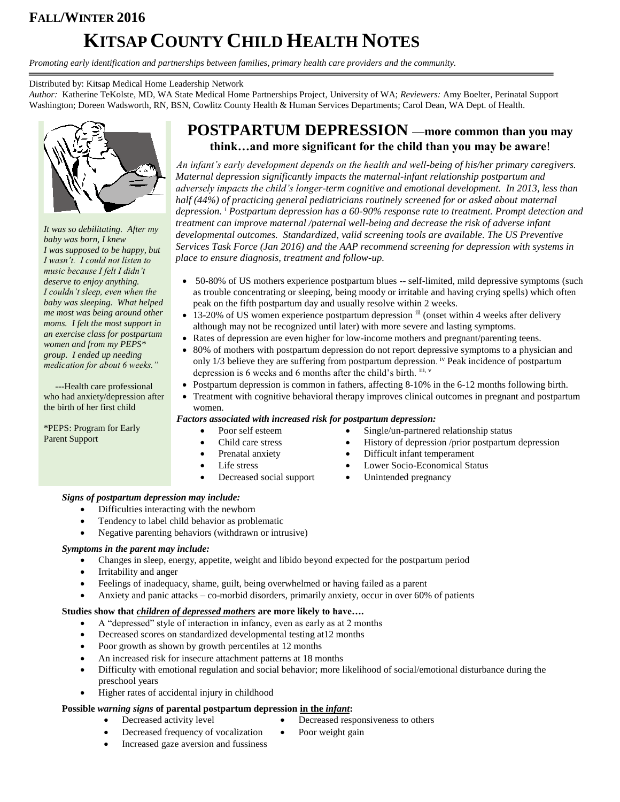# **FALL/WINTER 2016 KITSAP COUNTY CHILD HEALTH NOTES**

*Promoting early identification and partnerships between families, primary health care providers and the community.*

#### Distributed by: Kitsap Medical Home Leadership Network

*Author:* Katherine TeKolste, MD, WA State Medical Home Partnerships Project, University of WA; *Reviewers:* Amy Boelter, Perinatal Support Washington; Doreen Wadsworth, RN, BSN, Cowlitz County Health & Human Services Departments; Carol Dean, WA Dept. of Health.



*It was so debilitating. After my baby was born, I knew I was supposed to be happy, but I wasn't. I could not listen to music because I felt I didn't deserve to enjoy anything. I couldn't sleep, even when the baby was sleeping. What helped me most was being around other moms. I felt the most support in an exercise class for postpartum women and from my PEPS\* group. I ended up needing medication for about 6 weeks."*

 ---Health care professional who had anxiety/depression after the birth of her first child

\*PEPS: Program for Early Parent Support

## **POSTPARTUM DEPRESSION** —**more common than you may think…and more significant for the child than you may be aware**!

*An infant's early development depends on the health and well-being of his/her primary caregivers. Maternal depression significantly impacts the maternal-infant relationship postpartum and adversely impacts the child's longer-term cognitive and emotional development. In 2013, less than half (44%) of practicing general pediatricians routinely screened for or asked about maternal depression.* <sup>i</sup> *Postpartum depression has a 60-90% response rate to treatment. Prompt detection and treatment can improve maternal /paternal well-being and decrease the risk of adverse infant developmental outcomes. Standardized, valid screening tools are available. The US Preventive Services Task Force (Jan 2016) and the AAP recommend screening for depression with systems in place to ensure diagnosis, treatment and follow-up.* 

- 50-80% of US mothers experience postpartum blues -- self-limited, mild depressive symptoms (such as trouble concentrating or sleeping, being moody or irritable and having crying spells) which often peak on the fifth postpartum day and usually resolve within 2 weeks.
- 13-20% of US women experience postpartum depression iii (onset within 4 weeks after delivery although may not be recognized until later) with more severe and lasting symptoms.
- Rates of depression are even higher for low-income mothers and pregnant/parenting teens.
- 80% of mothers with postpartum depression do not report depressive symptoms to a physician and only 1/3 believe they are suffering from postpartum depression. iv Peak incidence of postpartum depression is 6 weeks and 6 months after the child's birth. iii, v
- Postpartum depression is common in fathers, affecting 8-10% in the 6-12 months following birth.
- Treatment with cognitive behavioral therapy improves clinical outcomes in pregnant and postpartum women.

#### *Factors associated with increased risk for postpartum depression:*

- 
- 
- 
- -
- Poor self esteem Single/un-partnered relationship status Child care stress • History of depression /prior postpartum depression
	-
- Prenatal anxiety <br>
Difficult infant temperament
- Life stress Lower Socio-Economical Status
	- Decreased social support <br>
	Unintended pregnancy

#### *Signs of postpartum depression may include:*

- Difficulties interacting with the newborn
- Tendency to label child behavior as problematic
- Negative parenting behaviors (withdrawn or intrusive)

#### *Symptoms in the parent may include:*

- Changes in sleep, energy, appetite, weight and libido beyond expected for the postpartum period
- Irritability and anger
- Feelings of inadequacy, shame, guilt, being overwhelmed or having failed as a parent
- Anxiety and panic attacks co-morbid disorders, primarily anxiety, occur in over 60% of patients

#### **Studies show that** *children of depressed mothers* **are more likely to have….**

- A "depressed" style of interaction in infancy, even as early as at 2 months
- Decreased scores on standardized developmental testing at12 months
- Poor growth as shown by growth percentiles at 12 months
- An increased risk for insecure attachment patterns at 18 months
- Difficulty with emotional regulation and social behavior; more likelihood of social/emotional disturbance during the preschool years
- Higher rates of accidental injury in childhood

#### **Possible** *warning signs* **of parental postpartum depression in the** *infant***:**

- Decreased activity level Decreased responsiveness to others
	-
	- Decreased frequency of vocalization Poor weight gain
- Increased gaze aversion and fussiness